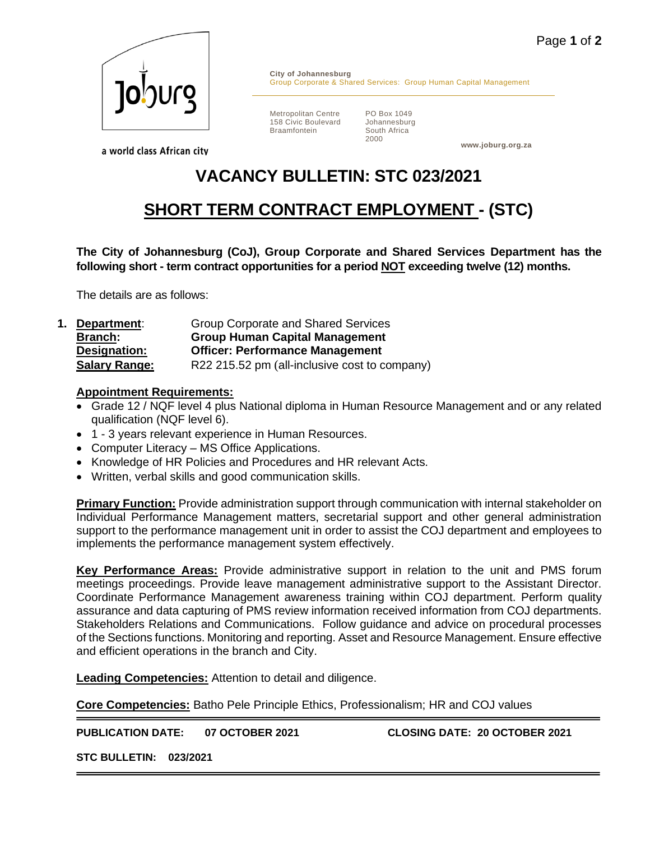

**City of Johannesburg** Group Corporate & Shared Services: Group Human Capital Management

Metropolitan Centre 158 Civic Boulevard Braamfontein

PO Box 1049 Johannesburg South Africa 2000

**www.joburg.org.za**

a world class African city

## **VACANCY BULLETIN: STC 023/2021**

## **SHORT TERM CONTRACT EMPLOYMENT - (STC)**

**The City of Johannesburg (CoJ), Group Corporate and Shared Services Department has the following short - term contract opportunities for a period NOT exceeding twelve (12) months.**

The details are as follows:

**1. Department**: Group Corporate and Shared Services **Branch: Group Human Capital Management Designation: Officer: Performance Management Salary Range:** R22 215.52 pm (all-inclusive cost to company)

## **Appointment Requirements:**

- Grade 12 / NQF level 4 plus National diploma in Human Resource Management and or any related qualification (NQF level 6).
- 1 3 years relevant experience in Human Resources.
- Computer Literacy MS Office Applications.
- Knowledge of HR Policies and Procedures and HR relevant Acts.
- Written, verbal skills and good communication skills.

**Primary Function:** Provide administration support through communication with internal stakeholder on Individual Performance Management matters, secretarial support and other general administration support to the performance management unit in order to assist the COJ department and employees to implements the performance management system effectively.

**Key Performance Areas:** Provide administrative support in relation to the unit and PMS forum meetings proceedings. Provide leave management administrative support to the Assistant Director. Coordinate Performance Management awareness training within COJ department. Perform quality assurance and data capturing of PMS review information received information from COJ departments. Stakeholders Relations and Communications. Follow guidance and advice on procedural processes of the Sections functions. Monitoring and reporting. Asset and Resource Management. Ensure effective and efficient operations in the branch and City.

**Leading Competencies:** Attention to detail and diligence.

**Core Competencies:** Batho Pele Principle Ethics, Professionalism; HR and COJ values

**PUBLICATION DATE: 07 OCTOBER 2021 CLOSING DATE: 20 OCTOBER 2021**

**STC BULLETIN: 023/2021**